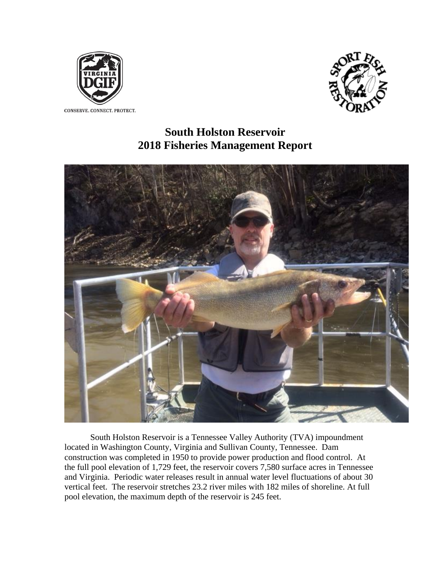



 **South Holston Reservoir 2018 Fisheries Management Report**



South Holston Reservoir is a Tennessee Valley Authority (TVA) impoundment located in Washington County, Virginia and Sullivan County, Tennessee. Dam construction was completed in 1950 to provide power production and flood control. At the full pool elevation of 1,729 feet, the reservoir covers 7,580 surface acres in Tennessee and Virginia. Periodic water releases result in annual water level fluctuations of about 30 vertical feet. The reservoir stretches 23.2 river miles with 182 miles of shoreline. At full pool elevation, the maximum depth of the reservoir is 245 feet.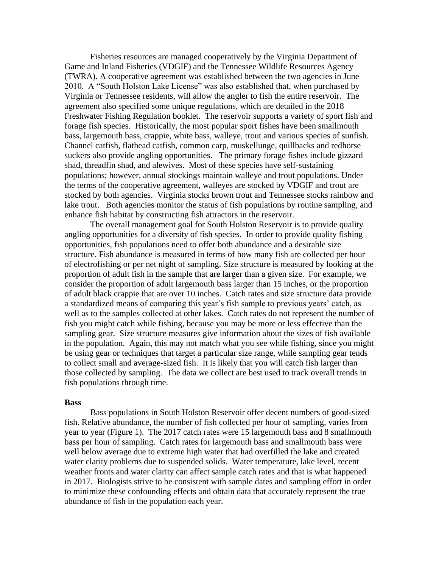Fisheries resources are managed cooperatively by the Virginia Department of Game and Inland Fisheries (VDGIF) and the Tennessee Wildlife Resources Agency (TWRA). A cooperative agreement was established between the two agencies in June 2010. A "South Holston Lake License" was also established that, when purchased by Virginia or Tennessee residents, will allow the angler to fish the entire reservoir. The agreement also specified some unique regulations, which are detailed in the 2018 Freshwater Fishing Regulation booklet. The reservoir supports a variety of sport fish and forage fish species. Historically, the most popular sport fishes have been smallmouth bass, largemouth bass, crappie, white bass, walleye, trout and various species of sunfish. Channel catfish, flathead catfish, common carp, muskellunge, quillbacks and redhorse suckers also provide angling opportunities. The primary forage fishes include gizzard shad, threadfin shad, and alewives. Most of these species have self-sustaining populations; however, annual stockings maintain walleye and trout populations. Under the terms of the cooperative agreement, walleyes are stocked by VDGIF and trout are stocked by both agencies. Virginia stocks brown trout and Tennessee stocks rainbow and lake trout. Both agencies monitor the status of fish populations by routine sampling, and enhance fish habitat by constructing fish attractors in the reservoir.

The overall management goal for South Holston Reservoir is to provide quality angling opportunities for a diversity of fish species. In order to provide quality fishing opportunities, fish populations need to offer both abundance and a desirable size structure. Fish abundance is measured in terms of how many fish are collected per hour of electrofishing or per net night of sampling. Size structure is measured by looking at the proportion of adult fish in the sample that are larger than a given size. For example, we consider the proportion of adult largemouth bass larger than 15 inches, or the proportion of adult black crappie that are over 10 inches. Catch rates and size structure data provide a standardized means of comparing this year's fish sample to previous years' catch, as well as to the samples collected at other lakes. Catch rates do not represent the number of fish you might catch while fishing, because you may be more or less effective than the sampling gear. Size structure measures give information about the sizes of fish available in the population. Again, this may not match what you see while fishing, since you might be using gear or techniques that target a particular size range, while sampling gear tends to collect small and average-sized fish. It is likely that you will catch fish larger than those collected by sampling. The data we collect are best used to track overall trends in fish populations through time.

## **Bass**

Bass populations in South Holston Reservoir offer decent numbers of good-sized fish. Relative abundance, the number of fish collected per hour of sampling, varies from year to year (Figure 1). The 2017 catch rates were 15 largemouth bass and 8 smallmouth bass per hour of sampling. Catch rates for largemouth bass and smallmouth bass were well below average due to extreme high water that had overfilled the lake and created water clarity problems due to suspended solids. Water temperature, lake level, recent weather fronts and water clarity can affect sample catch rates and that is what happened in 2017. Biologists strive to be consistent with sample dates and sampling effort in order to minimize these confounding effects and obtain data that accurately represent the true abundance of fish in the population each year.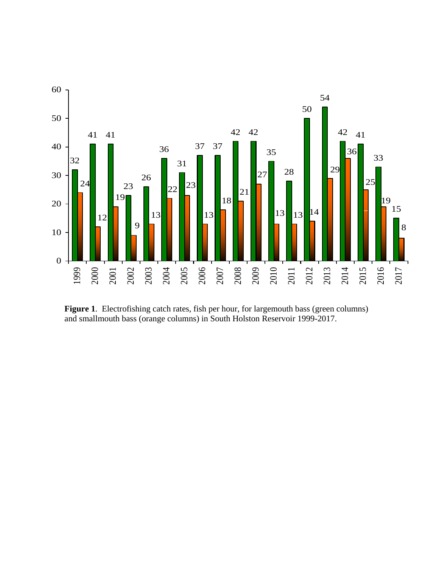

**Figure 1**. Electrofishing catch rates, fish per hour, for largemouth bass (green columns) and smallmouth bass (orange columns) in South Holston Reservoir 1999-2017.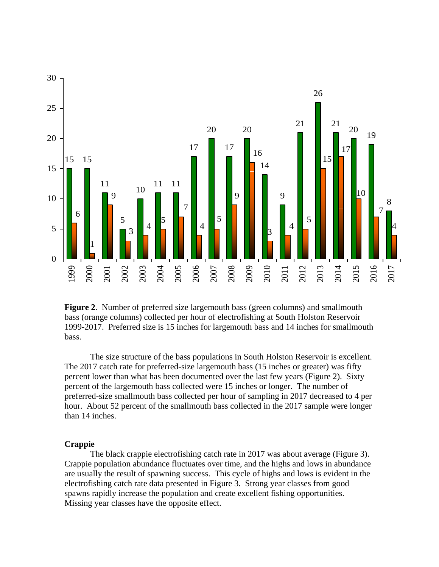

**Figure 2**. Number of preferred size largemouth bass (green columns) and smallmouth bass (orange columns) collected per hour of electrofishing at South Holston Reservoir 1999-2017. Preferred size is 15 inches for largemouth bass and 14 inches for smallmouth bass.

The size structure of the bass populations in South Holston Reservoir is excellent. The 2017 catch rate for preferred-size largemouth bass (15 inches or greater) was fifty percent lower than what has been documented over the last few years (Figure 2). Sixty percent of the largemouth bass collected were 15 inches or longer. The number of preferred-size smallmouth bass collected per hour of sampling in 2017 decreased to 4 per hour. About 52 percent of the smallmouth bass collected in the 2017 sample were longer than 14 inches.

## **Crappie**

The black crappie electrofishing catch rate in 2017 was about average (Figure 3). Crappie population abundance fluctuates over time, and the highs and lows in abundance are usually the result of spawning success. This cycle of highs and lows is evident in the electrofishing catch rate data presented in Figure 3. Strong year classes from good spawns rapidly increase the population and create excellent fishing opportunities. Missing year classes have the opposite effect.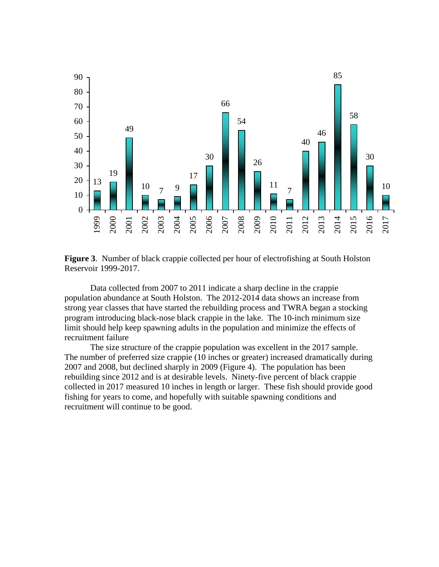

**Figure 3**. Number of black crappie collected per hour of electrofishing at South Holston Reservoir 1999-2017.

Data collected from 2007 to 2011 indicate a sharp decline in the crappie population abundance at South Holston. The 2012-2014 data shows an increase from strong year classes that have started the rebuilding process and TWRA began a stocking program introducing black-nose black crappie in the lake. The 10-inch minimum size limit should help keep spawning adults in the population and minimize the effects of recruitment failure

The size structure of the crappie population was excellent in the 2017 sample. The number of preferred size crappie (10 inches or greater) increased dramatically during and 2008, but declined sharply in 2009 (Figure 4). The population has been rebuilding since 2012 and is at desirable levels. Ninety-five percent of black crappie collected in 2017 measured 10 inches in length or larger. These fish should provide good fishing for years to come, and hopefully with suitable spawning conditions and recruitment will continue to be good.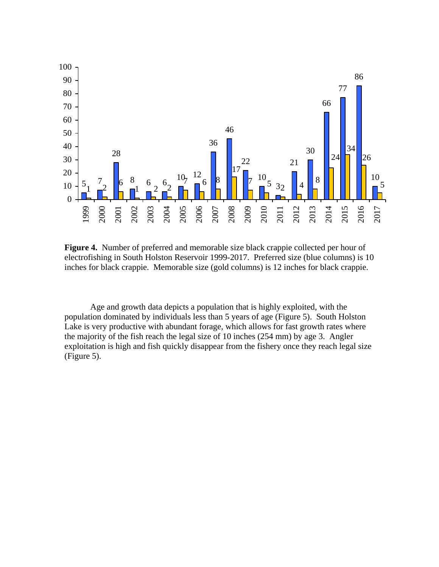

**Figure 4.** Number of preferred and memorable size black crappie collected per hour of electrofishing in South Holston Reservoir 1999-2017. Preferred size (blue columns) is 10 inches for black crappie. Memorable size (gold columns) is 12 inches for black crappie.

Age and growth data depicts a population that is highly exploited, with the population dominated by individuals less than 5 years of age (Figure 5). South Holston Lake is very productive with abundant forage, which allows for fast growth rates where the majority of the fish reach the legal size of 10 inches (254 mm) by age 3. Angler exploitation is high and fish quickly disappear from the fishery once they reach legal size (Figure 5).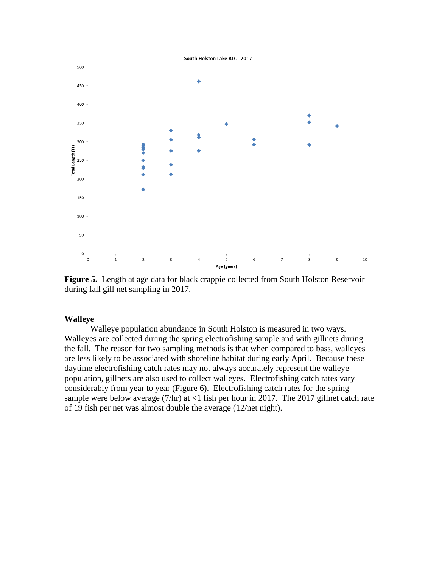

**Figure 5.** Length at age data for black crappie collected from South Holston Reservoir during fall gill net sampling in 2017.

## **Walleye**

Walleye population abundance in South Holston is measured in two ways. Walleyes are collected during the spring electrofishing sample and with gillnets during the fall. The reason for two sampling methods is that when compared to bass, walleyes are less likely to be associated with shoreline habitat during early April. Because these daytime electrofishing catch rates may not always accurately represent the walleye population, gillnets are also used to collect walleyes. Electrofishing catch rates vary considerably from year to year (Figure 6). Electrofishing catch rates for the spring sample were below average  $(7/hr)$  at  $<1$  fish per hour in 2017. The 2017 gillnet catch rate of 19 fish per net was almost double the average (12/net night).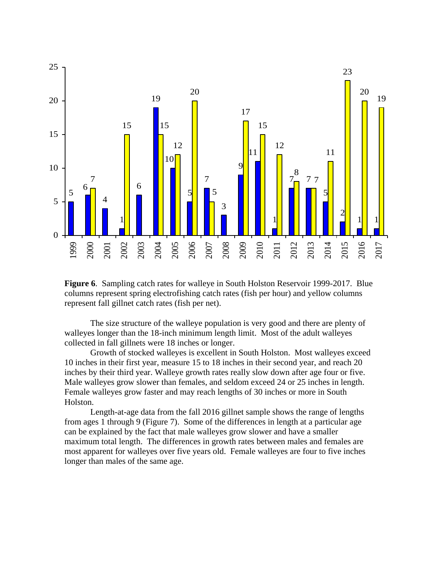

**Figure 6**. Sampling catch rates for walleye in South Holston Reservoir 1999-2017. Blue columns represent spring electrofishing catch rates (fish per hour) and yellow columns represent fall gillnet catch rates (fish per net).

The size structure of the walleye population is very good and there are plenty of walleyes longer than the 18-inch minimum length limit. Most of the adult walleyes collected in fall gillnets were 18 inches or longer.

Growth of stocked walleyes is excellent in South Holston. Most walleyes exceed 10 inches in their first year, measure 15 to 18 inches in their second year, and reach 20 inches by their third year. Walleye growth rates really slow down after age four or five. Male walleyes grow slower than females, and seldom exceed 24 or 25 inches in length. Female walleyes grow faster and may reach lengths of 30 inches or more in South Holston.

Length-at-age data from the fall 2016 gillnet sample shows the range of lengths from ages 1 through 9 (Figure 7). Some of the differences in length at a particular age can be explained by the fact that male walleyes grow slower and have a smaller maximum total length. The differences in growth rates between males and females are most apparent for walleyes over five years old. Female walleyes are four to five inches longer than males of the same age.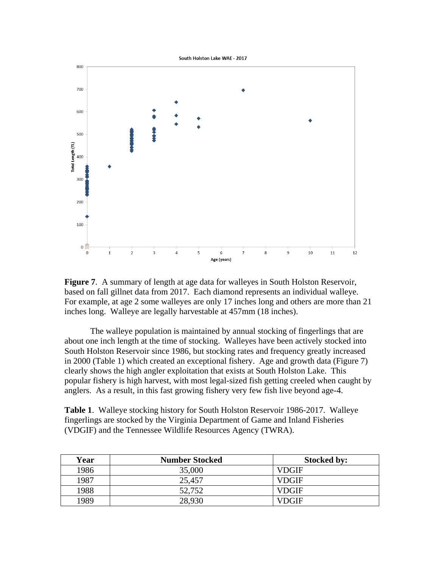

**Figure 7.** A summary of length at age data for walleyes in South Holston Reservoir, based on fall gillnet data from 2017. Each diamond represents an individual walleye. For example, at age 2 some walleyes are only 17 inches long and others are more than 21 inches long. Walleye are legally harvestable at 457mm (18 inches).

The walleye population is maintained by annual stocking of fingerlings that are about one inch length at the time of stocking. Walleyes have been actively stocked into South Holston Reservoir since 1986, but stocking rates and frequency greatly increased in 2000 (Table 1) which created an exceptional fishery. Age and growth data (Figure 7) clearly shows the high angler exploitation that exists at South Holston Lake. This popular fishery is high harvest, with most legal-sized fish getting creeled when caught by anglers. As a result, in this fast growing fishery very few fish live beyond age-4.

**Table 1**. Walleye stocking history for South Holston Reservoir 1986-2017. Walleye fingerlings are stocked by the Virginia Department of Game and Inland Fisheries (VDGIF) and the Tennessee Wildlife Resources Agency (TWRA).

| Year | <b>Number Stocked</b> | <b>Stocked by:</b> |
|------|-----------------------|--------------------|
| 1986 | 35,000                | VDGIF              |
| 1987 | 25,457                | VDGIF              |
| 1988 | 52,752                | VDGIF              |
| 1989 | 28,930                | VDGIF              |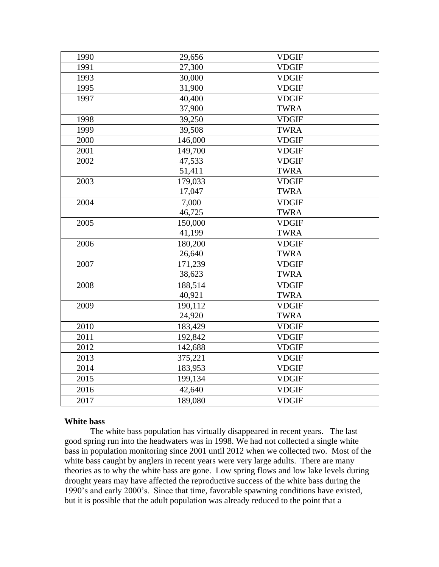| 1990 | 29,656  | <b>VDGIF</b> |
|------|---------|--------------|
| 1991 | 27,300  | <b>VDGIF</b> |
| 1993 | 30,000  | <b>VDGIF</b> |
| 1995 | 31,900  | <b>VDGIF</b> |
| 1997 | 40,400  | <b>VDGIF</b> |
|      | 37,900  | <b>TWRA</b>  |
| 1998 | 39,250  | <b>VDGIF</b> |
| 1999 | 39,508  | <b>TWRA</b>  |
| 2000 | 146,000 | <b>VDGIF</b> |
| 2001 | 149,700 | <b>VDGIF</b> |
| 2002 | 47,533  | <b>VDGIF</b> |
|      | 51,411  | <b>TWRA</b>  |
| 2003 | 179,033 | <b>VDGIF</b> |
|      | 17,047  | <b>TWRA</b>  |
| 2004 | 7,000   | <b>VDGIF</b> |
|      | 46,725  | <b>TWRA</b>  |
| 2005 | 150,000 | <b>VDGIF</b> |
|      | 41,199  | <b>TWRA</b>  |
| 2006 | 180,200 | <b>VDGIF</b> |
|      | 26,640  | <b>TWRA</b>  |
| 2007 | 171,239 | <b>VDGIF</b> |
|      | 38,623  | <b>TWRA</b>  |
| 2008 | 188,514 | <b>VDGIF</b> |
|      | 40,921  | <b>TWRA</b>  |
| 2009 | 190,112 | <b>VDGIF</b> |
|      | 24,920  | <b>TWRA</b>  |
| 2010 | 183,429 | <b>VDGIF</b> |
| 2011 | 192,842 | <b>VDGIF</b> |
| 2012 | 142,688 | <b>VDGIF</b> |
| 2013 | 375,221 | <b>VDGIF</b> |
| 2014 | 183,953 | <b>VDGIF</b> |
| 2015 | 199,134 | <b>VDGIF</b> |
| 2016 | 42,640  | <b>VDGIF</b> |
| 2017 | 189,080 | <b>VDGIF</b> |

## **White bass**

The white bass population has virtually disappeared in recent years. The last good spring run into the headwaters was in 1998. We had not collected a single white bass in population monitoring since 2001 until 2012 when we collected two. Most of the white bass caught by anglers in recent years were very large adults. There are many theories as to why the white bass are gone. Low spring flows and low lake levels during drought years may have affected the reproductive success of the white bass during the 1990's and early 2000's. Since that time, favorable spawning conditions have existed, but it is possible that the adult population was already reduced to the point that a